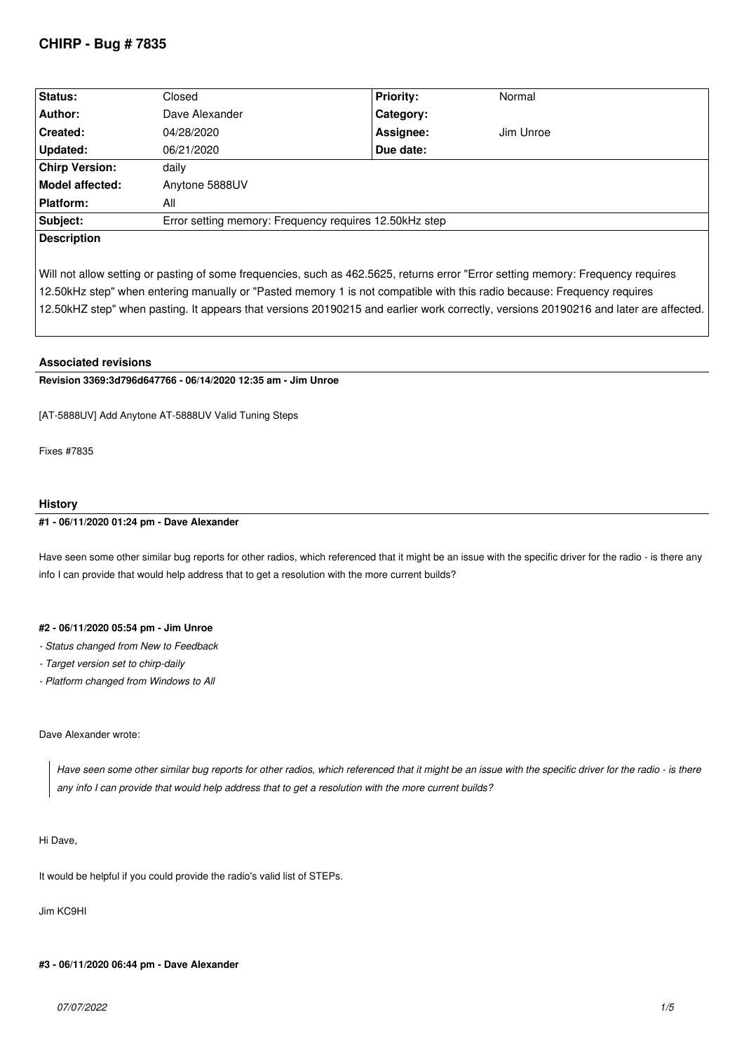# **CHIRP - Bug # 7835**

| <b>Status:</b>        | Closed                                                 | <b>Priority:</b> | Normal    |  |
|-----------------------|--------------------------------------------------------|------------------|-----------|--|
| Author:               | Dave Alexander                                         | Category:        |           |  |
| <b>Created:</b>       | 04/28/2020                                             | Assignee:        | Jim Unroe |  |
| Updated:              | 06/21/2020                                             | Due date:        |           |  |
| <b>Chirp Version:</b> | daily                                                  |                  |           |  |
| Model affected:       | Anytone 5888UV                                         |                  |           |  |
| <b>Platform:</b>      | All                                                    |                  |           |  |
| Subject:              | Error setting memory: Frequency requires 12.50kHz step |                  |           |  |
| <b>Description</b>    |                                                        |                  |           |  |

*Will not allow setting or pasting of some frequencies, such as 462.5625, returns error "Error setting memory: Frequency requires 12.50kHz step" when entering manually or "Pasted memory 1 is not compatible with this radio because: Frequency requires 12.50kHZ step" when pasting. It appears that versions 20190215 and earlier work correctly, versions 20190216 and later are affected.*

## **Associated revisions**

**Revision 3369:3d796d647766 - 06/14/2020 12:35 am - Jim Unroe** 

*[AT-5888UV] Add Anytone AT-5888UV Valid Tuning Steps*

*Fixes #7835*

## **History**

### **#1 - 06/11/2020 01:24 pm - Dave Alexander**

*Have seen some other similar bug reports for other radios, which referenced that it might be an issue with the specific driver for the radio - is there any info I can provide that would help address that to get a resolution with the more current builds?*

#### **#2 - 06/11/2020 05:54 pm - Jim Unroe**

- *Status changed from New to Feedback*
- *Target version set to chirp-daily*
- *Platform changed from Windows to All*

## *Dave Alexander wrote:*

*Have seen some other similar bug reports for other radios, which referenced that it might be an issue with the specific driver for the radio - is there any info I can provide that would help address that to get a resolution with the more current builds?*

## *Hi Dave,*

*It would be helpful if you could provide the radio's valid list of STEPs.*

*Jim KC9HI*

## **#3 - 06/11/2020 06:44 pm - Dave Alexander**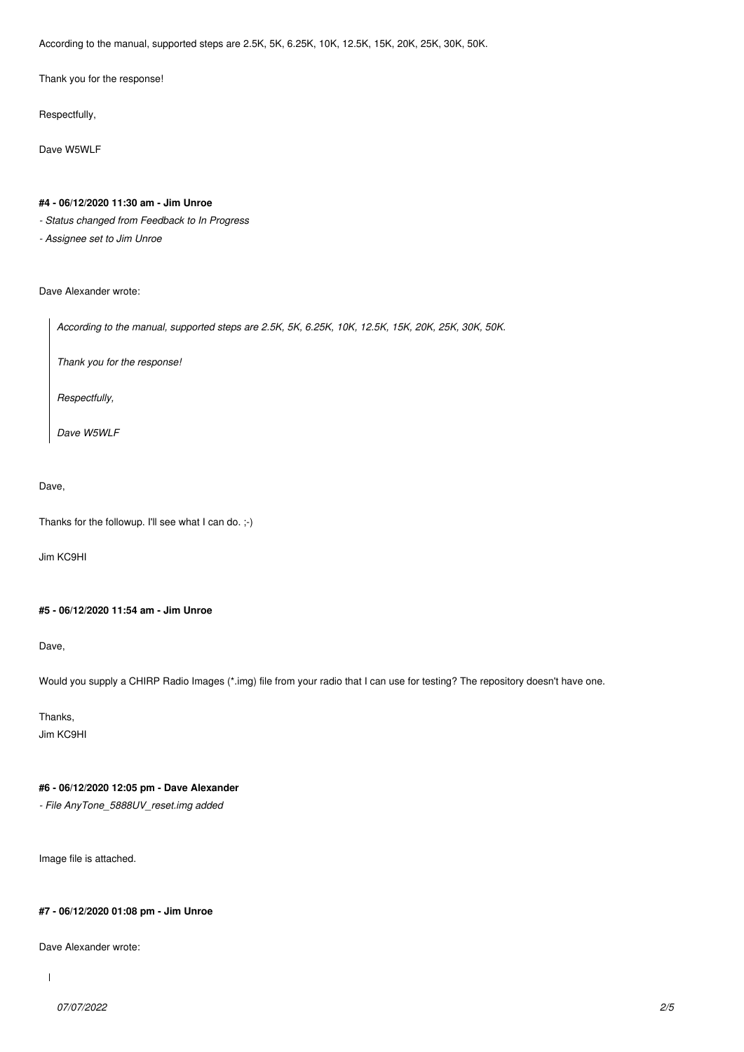*According to the manual, supported steps are 2.5K, 5K, 6.25K, 10K, 12.5K, 15K, 20K, 25K, 30K, 50K.*

*Thank you for the response!*

*Respectfully,*

*Dave W5WLF*

#### **#4 - 06/12/2020 11:30 am - Jim Unroe**

*- Status changed from Feedback to In Progress*

*- Assignee set to Jim Unroe*

#### *Dave Alexander wrote:*

*According to the manual, supported steps are 2.5K, 5K, 6.25K, 10K, 12.5K, 15K, 20K, 25K, 30K, 50K.*

*Thank you for the response!*

*Respectfully,*

*Dave W5WLF*

## *Dave,*

*Thanks for the followup. I'll see what I can do. ;-)*

*Jim KC9HI*

## **#5 - 06/12/2020 11:54 am - Jim Unroe**

*Dave,*

*Would you supply a CHIRP Radio Images (\*.img) file from your radio that I can use for testing? The repository doesn't have one.*

*Thanks,*

*Jim KC9HI*

# **#6 - 06/12/2020 12:05 pm - Dave Alexander**

*- File AnyTone\_5888UV\_reset.img added*

*Image file is attached.*

## **#7 - 06/12/2020 01:08 pm - Jim Unroe**

*Dave Alexander wrote:*

 $\overline{1}$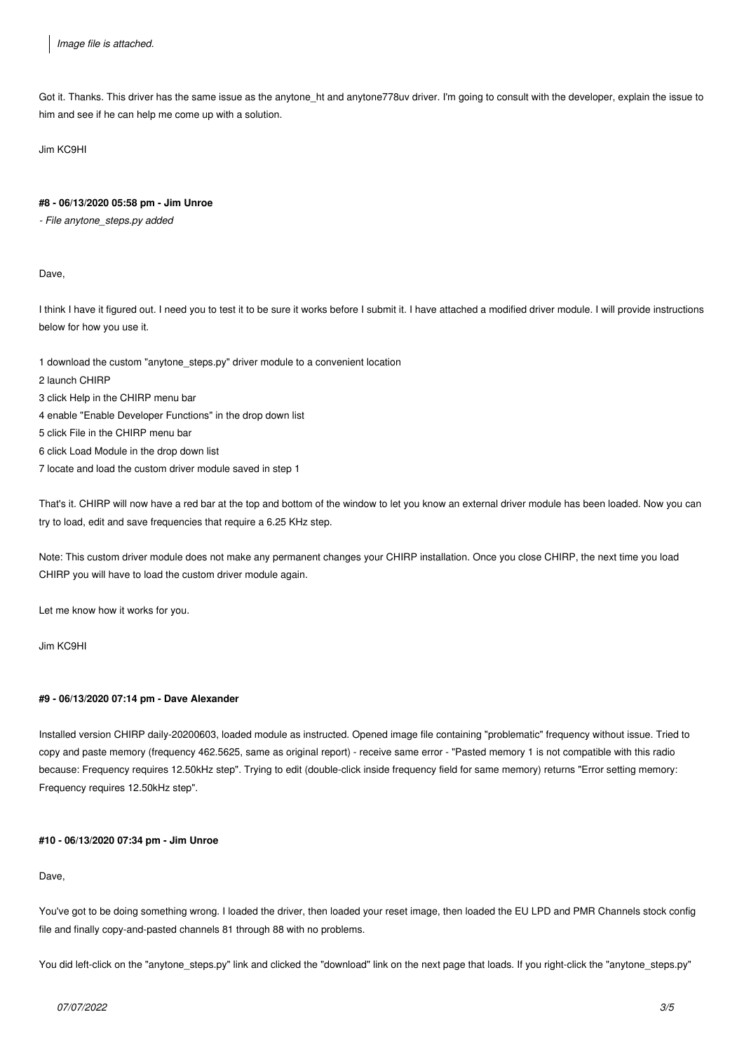*Got it. Thanks. This driver has the same issue as the anytone\_ht and anytone778uv driver. I'm going to consult with the developer, explain the issue to him and see if he can help me come up with a solution.*

*Jim KC9HI*

#### **#8 - 06/13/2020 05:58 pm - Jim Unroe**

*- File anytone\_steps.py added*

*Dave,*

*I think I have it figured out. I need you to test it to be sure it works before I submit it. I have attached a modified driver module. I will provide instructions below for how you use it.*

*1 download the custom "anytone\_steps.py" driver module to a convenient location*

- *2 launch CHIRP*
- *3 click Help in the CHIRP menu bar*
- *4 enable "Enable Developer Functions" in the drop down list*
- *5 click File in the CHIRP menu bar*
- *6 click Load Module in the drop down list*
- *7 locate and load the custom driver module saved in step 1*

*That's it. CHIRP will now have a red bar at the top and bottom of the window to let you know an external driver module has been loaded. Now you can try to load, edit and save frequencies that require a 6.25 KHz step.*

*Note: This custom driver module does not make any permanent changes your CHIRP installation. Once you close CHIRP, the next time you load CHIRP you will have to load the custom driver module again.*

*Let me know how it works for you.*

*Jim KC9HI*

## **#9 - 06/13/2020 07:14 pm - Dave Alexander**

*Installed version CHIRP daily-20200603, loaded module as instructed. Opened image file containing "problematic" frequency without issue. Tried to copy and paste memory (frequency 462.5625, same as original report) - receive same error - "Pasted memory 1 is not compatible with this radio because: Frequency requires 12.50kHz step". Trying to edit (double-click inside frequency field for same memory) returns "Error setting memory: Frequency requires 12.50kHz step".*

## **#10 - 06/13/2020 07:34 pm - Jim Unroe**

*Dave,*

*You've got to be doing something wrong. I loaded the driver, then loaded your reset image, then loaded the EU LPD and PMR Channels stock config file and finally copy-and-pasted channels 81 through 88 with no problems.*

*You did left-click on the "anytone\_steps.py" link and clicked the "download" link on the next page that loads. If you right-click the "anytone\_steps.py"*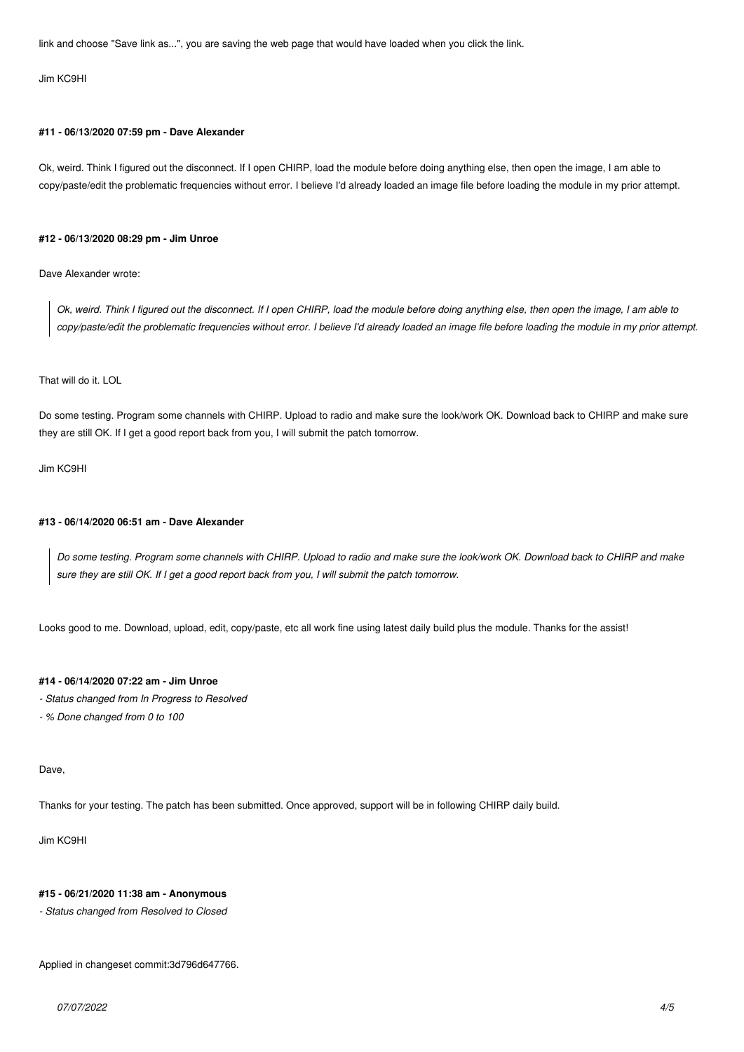*link and choose "Save link as...", you are saving the web page that would have loaded when you click the link.*

#### *Jim KC9HI*

#### **#11 - 06/13/2020 07:59 pm - Dave Alexander**

*Ok, weird. Think I figured out the disconnect. If I open CHIRP, load the module before doing anything else, then open the image, I am able to copy/paste/edit the problematic frequencies without error. I believe I'd already loaded an image file before loading the module in my prior attempt.*

#### **#12 - 06/13/2020 08:29 pm - Jim Unroe**

*Dave Alexander wrote:*

*Ok, weird. Think I figured out the disconnect. If I open CHIRP, load the module before doing anything else, then open the image, I am able to copy/paste/edit the problematic frequencies without error. I believe I'd already loaded an image file before loading the module in my prior attempt.*

## *That will do it. LOL*

*Do some testing. Program some channels with CHIRP. Upload to radio and make sure the look/work OK. Download back to CHIRP and make sure they are still OK. If I get a good report back from you, I will submit the patch tomorrow.*

*Jim KC9HI*

#### **#13 - 06/14/2020 06:51 am - Dave Alexander**

*Do some testing. Program some channels with CHIRP. Upload to radio and make sure the look/work OK. Download back to CHIRP and make sure they are still OK. If I get a good report back from you, I will submit the patch tomorrow.*

*Looks good to me. Download, upload, edit, copy/paste, etc all work fine using latest daily build plus the module. Thanks for the assist!*

## **#14 - 06/14/2020 07:22 am - Jim Unroe**

*- Status changed from In Progress to Resolved*

*- % Done changed from 0 to 100*

#### *Dave,*

*Thanks for your testing. The patch has been submitted. Once approved, support will be in following CHIRP daily build.*

*Jim KC9HI*

## **#15 - 06/21/2020 11:38 am - Anonymous**

*- Status changed from Resolved to Closed*

*Applied in changeset commit:3d796d647766.*